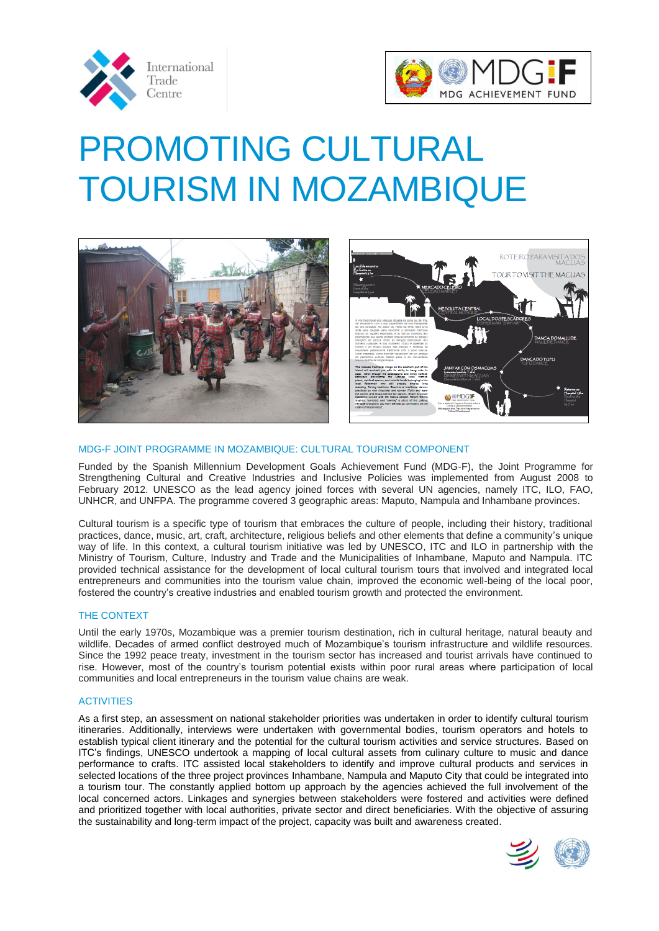



# PROMOTING CULTURAL TOURISM IN MOZAMBIQUE





# MDG-F JOINT PROGRAMME IN MOZAMBIQUE: CULTURAL TOURISM COMPONENT

Funded by the Spanish Millennium Development Goals Achievement Fund (MDG-F), the Joint Programme for Strengthening Cultural and Creative Industries and Inclusive Policies was implemented from August 2008 to February 2012. UNESCO as the lead agency joined forces with several UN agencies, namely ITC, ILO, FAO, UNHCR, and UNFPA. The programme covered 3 geographic areas: Maputo, Nampula and Inhambane provinces.

Cultural tourism is a specific type of tourism that embraces the culture of people, including their history, traditional practices, dance, music, art, craft, architecture, religious beliefs and other elements that define a community's unique way of life. In this context, a cultural tourism initiative was led by UNESCO, ITC and ILO in partnership with the Ministry of Tourism, Culture, Industry and Trade and the Municipalities of Inhambane, Maputo and Nampula. ITC provided technical assistance for the development of local cultural tourism tours that involved and integrated local entrepreneurs and communities into the tourism value chain, improved the economic well-being of the local poor, fostered the country's creative industries and enabled tourism growth and protected the environment.

## THE CONTEXT

Until the early 1970s, Mozambique was a premier tourism destination, rich in cultural heritage, natural beauty and wildlife. Decades of armed conflict destroyed much of Mozambique's tourism infrastructure and wildlife resources. Since the 1992 peace treaty, investment in the tourism sector has increased and tourist arrivals have continued to rise. However, most of the country's tourism potential exists within poor rural areas where participation of local communities and local entrepreneurs in the tourism value chains are weak.

## **ACTIVITIES**

As a first step, an assessment on national stakeholder priorities was undertaken in order to identify cultural tourism itineraries. Additionally, interviews were undertaken with governmental bodies, tourism operators and hotels to establish typical client itinerary and the potential for the cultural tourism activities and service structures. Based on ITC's findings, UNESCO undertook a mapping of local cultural assets from culinary culture to music and dance performance to crafts. ITC assisted local stakeholders to identify and improve cultural products and services in selected locations of the three project provinces Inhambane, Nampula and Maputo City that could be integrated into a tourism tour. The constantly applied bottom up approach by the agencies achieved the full involvement of the local concerned actors. Linkages and synergies between stakeholders were fostered and activities were defined and prioritized together with local authorities, private sector and direct beneficiaries. With the objective of assuring the sustainability and long-term impact of the project, capacity was built and awareness created.